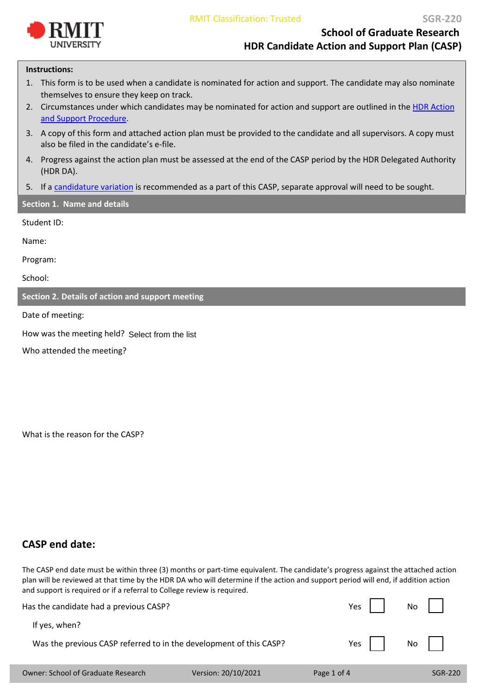

**School of Graduate Research HDR Candidate Action and Support Plan (CASP)**

#### **Instructions:**

- 1. This form is to be used when a candidate is nominated for action and support. The candidate may also nominate themselves to ensure they keep on track.
- 2. Circumstances under which candidates may be nominated for action and support are outlined in the [HDR Action](https://policies.rmit.edu.au/document/view.php?id=13) [and Support Procedure.](https://policies.rmit.edu.au/document/view.php?id=13)
- 3. A copy of this form and attached action plan must be provided to the candidate and all supervisors. A copy must also be filed in the candidate's e-file.
- 4. Progress against the action plan must be assessed at the end of the CASP period by the HDR Delegated Authority (HDR DA).
- 5. If a [candidature variation](https://www.rmit.edu.au/students/student-essentials/information-for/research-candidates/managing-your-candidature/variations-to-your-candidature) [is](http://www1.rmit.edu.au/browse;ID=5lt11t27pq2k) recommended as a part of this CASP, separate approval will need to be sought.

## **Section 1. Name and details**

Student ID:

Name:

Program:

School:

**Section 2. Details of action and support meeting**

Date of meeting:

How was the meeting held? Select from the list

Who attended the meeting?

What is the reason for the CASP?

# **CASP end date:**

The CASP end date must be within three (3) months or part-time equivalent. The candidate's progress against the attached action plan will be reviewed at that time by the HDR DA who will determine if the action and support period will end, if addition action and support is required or if a referral to College review is required.

| Has the candidate had a previous CASP?                             |                     | Yes $\vert \ \vert$ | $\mathsf{No}$ |
|--------------------------------------------------------------------|---------------------|---------------------|---------------|
| If yes, when?                                                      |                     | Yes                 | $No$          |
| Was the previous CASP referred to in the development of this CASP? |                     |                     |               |
| <b>Owner: School of Graduate Research</b>                          | Version: 20/10/2021 | Page 1 of 4         | SGR-220       |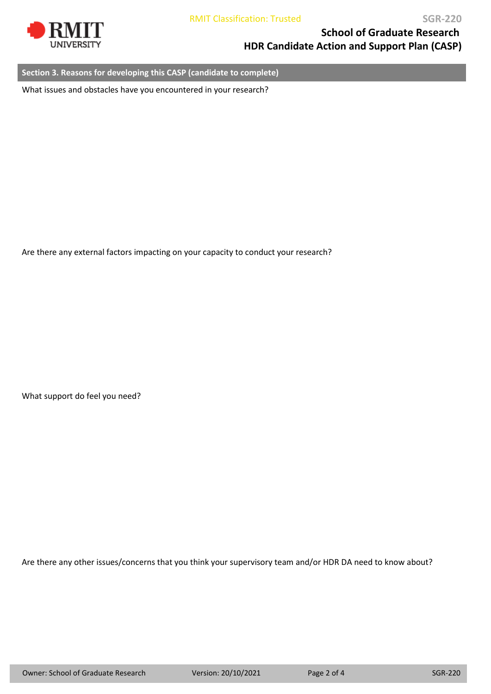

**School of Graduate Research HDR Candidate Action and Support Plan (CASP)**

**Section 3. Reasons for developing this CASP (candidate to complete)**

What issues and obstacles have you encountered in your research?

Are there any external factors impacting on your capacity to conduct your research?

What support do feel you need?

Are there any other issues/concerns that you think your supervisory team and/or HDR DA need to know about?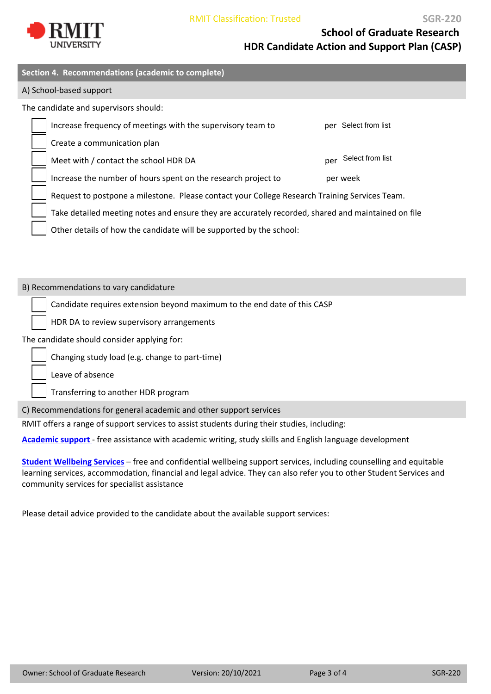

**SGR‐220**

**School of Graduate Research HDR Candidate Action and Support Plan (CASP)**

| Section 4. Recommendations (academic to complete)                                                  |                         |  |
|----------------------------------------------------------------------------------------------------|-------------------------|--|
| A) School-based support                                                                            |                         |  |
| The candidate and supervisors should:                                                              |                         |  |
| Increase frequency of meetings with the supervisory team to                                        | Select from list<br>per |  |
| Create a communication plan                                                                        |                         |  |
| Meet with / contact the school HDR DA                                                              | Select from list<br>per |  |
| Increase the number of hours spent on the research project to                                      | per week                |  |
| Request to postpone a milestone. Please contact your College Research Training Services Team.      |                         |  |
| Take detailed meeting notes and ensure they are accurately recorded, shared and maintained on file |                         |  |

Other details of how the candidate will be supported by the school:

B) Recommendations to vary candidature

Candidate requires extension beyond maximum to the end date of this CASP

HDR DA to review supervisory arrangements

The candidate should consider applying for:

Changing study load (e.g. change to part‐time)

Leave of absence

Transferring to another HDR program

C) Recommendations for general academic and other support services

RMIT offers a range of support services to assist students during their studies, including:

**[Academic](https://www.rmit.edu.au/students/study-support) support** ‐ free assistance with academic writing, study skills and English language development

**Student [Wellbeing](https://www.rmit.edu.au/students/support-and-facilities/student-support) Services** – free and confidential wellbeing support services, including counselling and equitable learning services, accommodation, financial and legal advice. They can also refer you to other Student Services and community services for specialist assistance

Please detail advice provided to the candidate about the available support services: